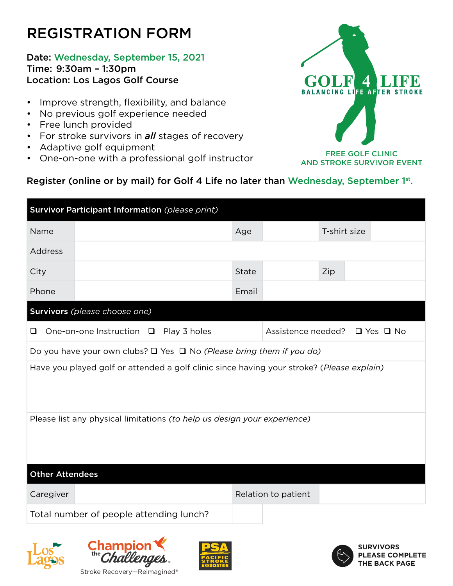## REGISTRATION FORM

### Date: Wednesday, September 15, 2021 Time: 9:30am – 1:30pm Location: Los Lagos Golf Course

- Improve strength, flexibility, and balance
- No previous golf experience needed
- Free lunch provided
- For stroke survivors in *all* stages of recovery
- Adaptive golf equipment
- One-on-one with a professional golf instructor



FREE GOLF CLINIC AND STROKE SURVIVOR EVENT

## Register (online or by mail) for Golf 4 Life no later than Wednesday, September 1st.

| Survivor Participant Information (please print)                                           |              |                               |              |  |  |
|-------------------------------------------------------------------------------------------|--------------|-------------------------------|--------------|--|--|
| Name                                                                                      | Age          |                               | T-shirt size |  |  |
| Address                                                                                   |              |                               |              |  |  |
| City                                                                                      | <b>State</b> |                               | Zip          |  |  |
| Phone                                                                                     | Email        |                               |              |  |  |
| Survivors (please choose one)                                                             |              |                               |              |  |  |
| One-on-one Instruction □ Play 3 holes                                                     |              | Assistence needed? □ Yes □ No |              |  |  |
| Do you have your own clubs? $\Box$ Yes $\Box$ No (Please bring them if you do)            |              |                               |              |  |  |
| Have you played golf or attended a golf clinic since having your stroke? (Please explain) |              |                               |              |  |  |
| Please list any physical limitations (to help us design your experience)                  |              |                               |              |  |  |
| <b>Other Attendees</b>                                                                    |              |                               |              |  |  |
| Caregiver                                                                                 |              | Relation to patient           |              |  |  |
| Total number of people attending lunch?                                                   |              |                               |              |  |  |